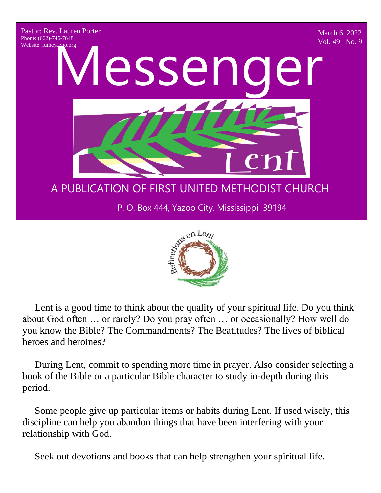



 Lent is a good time to think about the quality of your spiritual life. Do you think about God often … or rarely? Do you pray often … or occasionally? How well do you know the Bible? The Commandments? The Beatitudes? The lives of biblical heroes and heroines?

 During Lent, commit to spending more time in prayer. Also consider selecting a book of the Bible or a particular Bible character to study in-depth during this period.

 Some people give up particular items or habits during Lent. If used wisely, this discipline can help you abandon things that have been interfering with your relationship with God.

Seek out devotions and books that can help strengthen your spiritual life.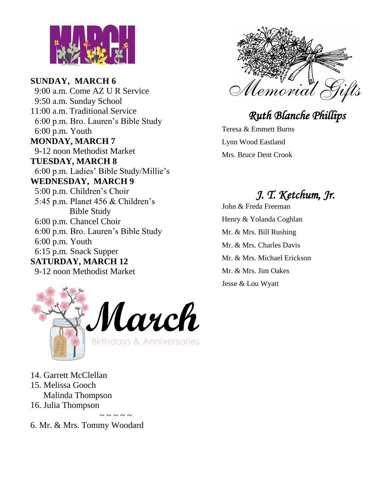

**SUNDAY, MARCH 6** 9:00 a.m. Come AZ U R Service 9:50 a.m. Sunday School 11:00 a.m. Traditional Service 6:00 p.m. Bro. Lauren's Bible Study 6:00 p.m. Youth **MONDAY, MARCH 7** 9-12 noon Methodist Market **TUESDAY, MARCH 8** 6:00 p.m. Ladies' Bible Study/Millie's **WEDNESDAY, MARCH 9** 5:00 p.m. Children's Choir 5:45 p.m. Planet 456 & Children's Bible Study 6:00 p.m. Chancel Choir 6:00 p.m. Bro. Lauren's Bible Study 6:00 p.m. Youth 6:15 p.m. Snack Supper **SATURDAY, MARCH 12** 9-12 noon Methodist Market





 *Ruth Blanche Phillips* 

Teresa & Emmett Burns Lynn Wood Eastland Mrs. Bruce Dent Crook

# *J. T. Ketchum, Jr.*

John & Freda Freeman Henry & Yolanda Coghlan Mr. & Mrs. Bill Rushing Mr. & Mrs. Charles Davis Mr. & Mrs. Michael Erickson Mr. & Mrs. Jim Oakes Jesse & Lou Wyatt

14. Garrett McClellan 15. Melissa Gooch Malinda Thompson 16. Julia Thompson

 $\sim$   $\sim$   $\sim$   $\sim$   $\sim$ 6. Mr. & Mrs. Tommy Woodard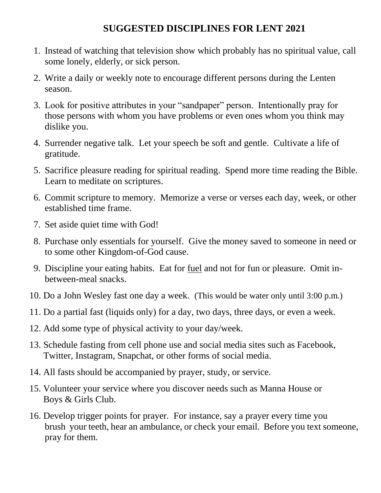#### **SUGGESTED DISCIPLINES FOR LENT 2021**

- 1. Instead of watching that television show which probably has no spiritual value, call some lonely, elderly, or sick person.
- 2. Write a daily or weekly note to encourage different persons during the Lenten season.
- 3. Look for positive attributes in your "sandpaper" person. Intentionally pray for those persons with whom you have problems or even ones whom you think may dislike you.
- 4. Surrender negative talk. Let your speech be soft and gentle. Cultivate a life of gratitude.
- 5. Sacrifice pleasure reading for spiritual reading. Spend more time reading the Bible. Learn to meditate on scriptures.
- 6. Commit scripture to memory. Memorize a verse or verses each day, week, or other established time frame.
- 7. Set aside quiet time with God!
- 8. Purchase only essentials for yourself. Give the money saved to someone in need or to some other Kingdom-of-God cause.
- 9. Discipline your eating habits. Eat for fuel and not for fun or pleasure. Omit inbetween-meal snacks.
- 10. Do a John Wesley fast one day a week. (This would be water only until 3:00 p.m.)
- 11. Do a partial fast (liquids only) for a day, two days, three days, or even a week.
- 12. Add some type of physical activity to your day/week.
- 13. Schedule fasting from cell phone use and social media sites such as Facebook, Twitter, Instagram, Snapchat, or other forms of social media.
- 14. All fasts should be accompanied by prayer, study, or service.
- 15. Volunteer your service where you discover needs such as Manna House or Boys & Girls Club.
- 16. Develop trigger points for prayer. For instance, say a prayer every time you brush your teeth, hear an ambulance, or check your email. Before you text someone, pray for them.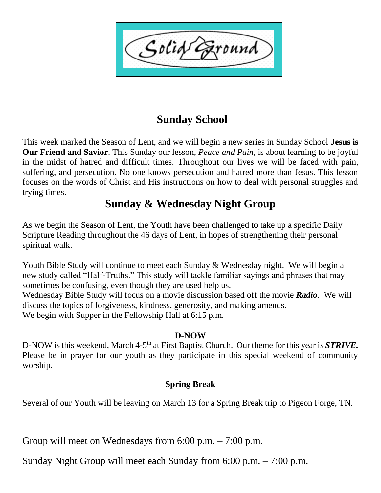Solid `ound

#### **Sunday School**

This week marked the Season of Lent, and we will begin a new series in Sunday School **Jesus is Our Friend and Savior**. This Sunday our lesson, *Peace and Pain,* is about learning to be joyful in the midst of hatred and difficult times. Throughout our lives we will be faced with pain, suffering, and persecution. No one knows persecution and hatred more than Jesus. This lesson focuses on the words of Christ and His instructions on how to deal with personal struggles and trying times.

#### **Sunday & Wednesday Night Group**

As we begin the Season of Lent, the Youth have been challenged to take up a specific Daily Scripture Reading throughout the 46 days of Lent, in hopes of strengthening their personal spiritual walk.

Youth Bible Study will continue to meet each Sunday & Wednesday night. We will begin a new study called "Half-Truths." This study will tackle familiar sayings and phrases that may sometimes be confusing, even though they are used help us.

Wednesday Bible Study will focus on a movie discussion based off the movie *Radio*. We will discuss the topics of forgiveness, kindness, generosity, and making amends. We begin with Supper in the Fellowship Hall at 6:15 p.m.

#### **D-NOW**

D-NOW is this weekend, March 4-5<sup>th</sup> at First Baptist Church. Our theme for this year is **STRIVE.** Please be in prayer for our youth as they participate in this special weekend of community worship.

#### **Spring Break**

Several of our Youth will be leaving on March 13 for a Spring Break trip to Pigeon Forge, TN.

Group will meet on Wednesdays from 6:00 p.m. – 7:00 p.m.

Sunday Night Group will meet each Sunday from 6:00 p.m. – 7:00 p.m.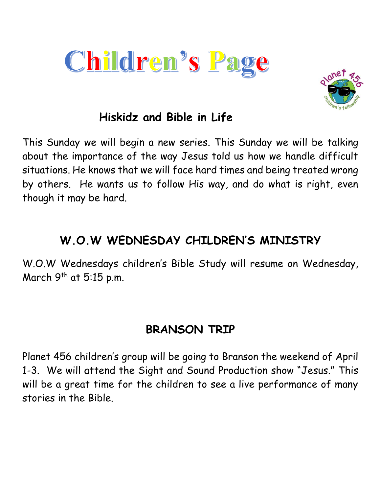



### **Hiskidz and Bible in Life**

This Sunday we will begin a new series. This Sunday we will be talking about the importance of the way Jesus told us how we handle difficult situations. He knows that we will face hard times and being treated wrong by others. He wants us to follow His way, and do what is right, even though it may be hard.

# **W.O.W WEDNESDAY CHILDREN'S MINISTRY**

W.O.W Wednesdays children's Bible Study will resume on Wednesday, March  $9<sup>th</sup>$  at 5:15 p.m.

# **BRANSON TRIP**

Planet 456 children's group will be going to Branson the weekend of April 1-3. We will attend the Sight and Sound Production show "Jesus." This will be a great time for the children to see a live performance of many stories in the Bible.